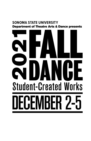# **SONOMA STATE UNIVERSITY**  Department of Theatre Arts & Dance presents

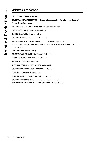# *Artistic & Production*

| Marissa Salinas (Marketing)                                                               |
|-------------------------------------------------------------------------------------------|
| <b>STUDENT ASSISTANT DIRECTOR IN-TRAINING Jennifer Martuscelli</b>                        |
| <b>STUDENT CREATIVE MENTOR Jasmine Kaiulani</b>                                           |
| <b>EMCEES</b> Sierra Parkhurst. Marissa Salinas                                           |
| <b>STUDENT MENTORS</b> Terra Bransfield. Eros Mene                                        |
| <b>STUDENT DIRECTORS/CHOREOGRAPHERS</b> Terra Bransfield, Jay Haralson,                   |
| Alessandra Jennings, Jasmine Kaiulani, Jennifer Martuscelli, Eros Mene, Sierra Parkhurst, |
| Marissa Salinas                                                                           |
| <b>DIGITAL DESIGN Eliza Hemenway</b>                                                      |
| <b>STUDENT STAGE MANAGER Elliot Carmona-Rodriguez</b>                                     |
| <b>PRODUCTION COORDINATOR Francelle Mariano</b>                                           |
| <b>TECHNICAL DIRECTOR Theo Bridant</b>                                                    |
| <b>TECHNICAL COURSE FACULTY MENTOR Anthony Bish</b>                                       |
| <b>STUDENT TECHNICAL DESIGN AND SUPPORT Tiffani Lopez</b>                                 |
| <b>COSTUME COORDINATOR Teresa Kopaz</b>                                                   |
| <b>COMPOSER COURSE FACULTY MENTOR Thom Limbert</b>                                        |
| <b>STUDENT COMPOSERS</b> Noble Amani, Stephan Fratallone, Jon Iten                        |
| CPA MARKETING AND PUBLIC RELATIONS COORDINATOR Jana Duncan                                |

**STUDENT ASSISTANT DIRECTORS** Jay Haralson (Communication), Sierra Parkhurst (Logistics),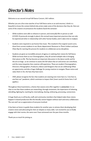# *Director's Notes*

Welcome to our second virtual Fall Dance Concert, 2021 edition.

Whether you are a frst time watcher of our Fall Dance series or an avid returner, I think it is beautiful to know the context behind why artists make some of the decisions that they do. Here are some of the creative circumstances the students faced this semester:

- While students were able to rehearse in-person, and eventually flm in-person as well (COVID-19 protocols strongly in place), this revived many important practices that can only be experienced when in relationship with other human bodies, and it takes time to readjust.
- Students were required to use license-free music. Tis resulted in fve *original sound scores*, three from current students in our Music department! Shoutout to Thom Limbert and Jesse Olsen Bay for starting this process for students to collaborate across disciplines.
- Students are given an incredible amount of agency in realizing their visions for Fall Dance. While we know them as our Choreographers, they all carried multiple roles in bringing their pieces to life. This has become an important discussion in the dance world, and for the arts at large, as we continue to assess the full values that art and artists can contribute, and the many inequities that creatives still experience. These are student Choreographers, Directors, Filmographers, Producers, Editors and Designers that we are celebrating! What an opportunity, and also a huge challenge, for young creatives to navigate. Please notice and value them in ALL the hats they have worn.
- AND, please recognize the fact that students are wearing even more hats in a "one foot in, one foot out" pandemic, which continues to impact their [insert word of choice here. It all applies.].

Troughout these 8 premieres, a theme that weaves every flm together is *connection*. It is so clear to me that these students are researching, through movement, the importance of releasing, rekindling, fghting for, reaching for, internalizing, sharing, embracing, processing, connections.

A huge thank you to all faculty, staf, and community members that helped make these visions happen! A shared production like this literally cannot happen without each and every collaborator. The cast and I are so appreciative of everyone involved.

It has been an honor to guide these students for another year, to witness them developing their creative voices and advocating for their art despite so many odds. I am excited for you to fnally engage with their stories, the same ones I have witnessed over the past three months.

Thank you so much for joining us.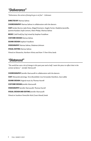## *"Deliverance"*

*"Deliverance; the action of being let go or set free" - Unknown* 

**DIRECTED BY** Marissa Salinas

**CHOREOGRAPHY** Marissa Salinas in collaboration with the dancers

**CAST** Jordan Burton, Jada Dosty, Abigail Eissmann, Angela Fortier, Madyline Jaramillo, Jasmine Kaiulani, Kayle Lemons, Aleen Phelps, Marissa Salinas

**MUSIC** Cold Prod(Zay Zay) mixed by Stephan Fratallone

**COSTUME DESIGN** Marissa Salinas

**SOUND DESIGN** Stephan Fratallone

**VIDEOGRAPHY** Marissa Salinas, Shalamar Johnson

**VISUAL EDITING** Marissa Salinas

*Filmed on Okwanchu, Northern Wintu and Nom Ti Pom Winu lands* 

## *"Distanced"*

*"Te world has seen a lot of change in this past year and a half. I want this piece to refect that in the context of dance." - Jennifer Martuscelli* 

**CHOREOGRAPHY** Jennifer Martuscelli in collaboration with the dancers **CAST** Alessandra Jennings, Terra Bransfeld, Cora Fernandez-Hamilton, Zara Labbe **SOUND DESIGN** Original music by Thomas Hurrell **COSTUME DESIGN** Jennifer Martuscelli **VIDEOGRAPHY** Jennifer Martuscelli, Thomas Hurrell **VISUAL DESIGN AND EDITING** Jennifer Martuscelli *Filmed on Southern Pomo/Me-Wuk (Coast Miwok) lands*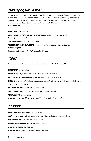# *"This is (Still) Not Political"*

*"I want to continue to invoke the questions I have been pondering unto others, if they are still willing to join me. So now I ask–"How do I shine light to an issue without it appearing to be a beg for a personal spotlight?" I want to continue, not to create discomfort or to cause folks unease, but to continue to invite them to refect upon their own lives and how they afect those around them." - Terra Bransfeld* 

#### **DIRECTED BY** Terra Bransfeld

**CHOREOGRAPHY, CAST, AND COSTUME DESIGN** Marigold Birch, Terra Bransfeld, Katryna Johnson, Jordan Murayama

**SOUND DESIGN** Original music by Jon Iten

**VIDEOGRAPHY AND VISUAL EDITING** Anthony Bish, Terra Bransfeld, Katryna Johnson, Jordan Murayama *Filmed on Southern Pomo/Me-Wuk (Coast Miwok) lands* 

## *"LINK"*

*"Never underestimate the empowering efect of human connection." - Drishti Bablani* 

**DIRECTED BY** Jasmine Kaiulani **CHOREOGRAPHY** Jasmine Kaulani in collaboration with the dancers **CAST** Abigail Eissmann, Jasmine Kaiulani, Sierra Parkhurst, Marissa Salinas **MUSIC** "Interconnection" - Makeda Marie (prod. beatocracy), written by Jasmine Kaiulani & Makeda Marie "PATTERNS" - TILLSTONEALT **COSTUME DESIGN** Jasmine Kaiulani & Teresa Kopaz **VIDEOGRAPHY** Jasmine Kaiulani, Farrah McAdam, Taya Morehead **VISUAL EDITING** Jasmine Kaiulani *Filmed on Ramaytush Ohlone and Me-Wuk (Coast Miwok)/Southern Pomo lands* 

## *"BOUND"*

**CHOREOGRAPHY** Sierra Parkhurst and dancers **CAST** Jordan Burton, Madyline Jaramillo, Jasmine Kaiulani, Lilia Rechin, Marissa Salinas **SOUND DESIGN** Original music by Harrison Hilla **DESIGN, VIDEOGRAPHY, AND EDITING** Sierra Parkhurst **LIGHTING OPERATION** Tifani Lopez *Filmed on Southern Pomo/Me-Wuk (Coast Miwok) lands*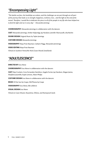# *"Encompassing Light"*

*"Te battles we face, the hardships we endure, and the challenges we are put through are all part of the journey that leads us to strength, happiness, resilience, love... and the light at the end of the*  tunnel. Therefore, I would like to dedicate this piece to all of the people in my life who have helped me *to fnd the light and see it every day." - Alessandra Jennings* 

**CHOREOGRAPHY** Alessandra Jennings in collaboration with the dancers **CAST** Alessandra Jennings, Amber Kaljumägi, Jay Haralson, Jennifer Martuscelli, Lilia Rechin **SOUND DESIGN** Original Music by Taylor Jennings **COSTUME DESIGN** Alessandra Jennings **VIDEOGRAPHY** Maya Pratt Bauman, Caitlynn Flagg, Alessandra Jenninngs **VIDEO EDITING** Maya Pratt Bauman *Filmed on Southern Pomo/Me-Wuk (Coast Miwok) land/lands* 

# *"ADULTLESCENCE"*

**DIRECTED BY** Eros Mene

**CHOREOGRAPHY** Eros Mene in collaboration with the dancers

**CAST** Deja Crockett, Cora Fernandez-Hamilton, Angela Fortier, Jay Haralson, Megan James, Madyline Jaramillo, Kayle Lemons, Aleen Phelps

**COSTUME DESIGN** Eros Mene in collaboration with the dancers

**MUSIC** Of the Sun by Cospe, Old Photos by Cospe

**VIDEOGRAPHY** Eros Mene, Elle Lefebvre

**VISUAL DESIGN** Eros Mene

*Filmed on Coast Miwok, Muwekma, Ohlone, and Ramaytush lands*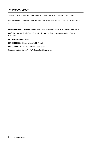## *"Escape: Body"*

*"While watching, please remain patient and gentle with yourself. With love, Jay" - Jay Haralson* 

*Content Warning: Tis piece contains themes of body dysmorphia and eating disorders, which may be sensitive to some viewers* 

**CHOREOGRAPHED AND DIRECTED BY** Jay Haralson in collaboration with Jacob Rosales and dancers

**CAST** Terra Bransfeld, Jada Dosty, Angela Fortier, Maddie Green, Alessandra Jennings, Zara Labbe, Lilia Rechin

**COSTUME DESIGN** Jay Haralson

**SOUND DESIGN** Original music by Noble Amani

**VIDEOGRAPHY AND VIDEO EDITING** Jacob Rosales

*Filmed on Southern Pomo/Me-Wuk (Coast Miwok) land/lands*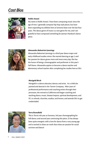# *Cast Bios*



#### **Noble Amani**

My name is Noble Amani. I have been composing music since the age of nine. I generally compose hip-hop style pieces, but have been expanding my abilities here at Sonoma State over the last four years. The dance genre of music is a new genre for me, and I am grateful to have composed something for Jasmyn Haralson's dance piece.



#### **Alessandra Balestrieri-Jennings**

Alessandra Balestrieri-Jennings is a third year dance major and early childhood studies minor. She started dancing at age 2, and her passion for dance grows more and more every day. She has the honor of being a choreographer and performer in this year's Fall Dance. Alessandra aspires to become a dance teacher and elementary school teacher after completing her studies here at SSU.

#### **Marigold Birch**

Marigold is a dance educator, dancer, and artist. As a child she painted and danced in the Tanner Company. After years of professional performance and coaching artists through their processes, she moved to California and began coaching and teaching dance, music, theater/improv, spiritual development, and P.E. in schools, churches, studios, and homes, and attends SSU to get credentialed.



#### **Terra Bransfeld**

This is Terra's 4th year at Sonoma, 3rd year choreographing for Fall dance, and second year continuing this piece. Zi has always been quite energetic with a love for dance from a very young age and is excited to share zer work that mixes zer passion for social activism and dance!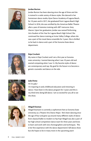

#### **Jordan Burton**

Jordan Burton has been dancing since the age of three and she is trained in a wide variety of dance styles. She danced in her hometown dance studio, Kyne Dance Academy of Laguna Beach, for 10 years and in 2017, she graduated from Laguna Beach High School. In 2016, she was certified by the American Ballet Theatre after a year of intensive training with ABT instructor Amy Macon. Upon her graduation, Jordan was named Performing Arts Student of the Year for Laguna Beach High School. She continued her dance training at Irvine Valley College, where she was a part of the travel dance ensemble for 3 years. She is thrilled to be back in dance and a part of the Sonoma State dance department.



#### **Deja Crockett**

My name is Deja Crockett and I am a frst year at Sonoma state university. I started dancing when I was 10 years old and started competing when I was 14. My favorite styles of dance are contemporary and tap. My goal for the future is to become a genetic counselor and dance on the side.



#### **Jada Dosty**

#### Hi i'm jada !

i'm majoring in early childhood education and minoring in dance. I have been in the dance program for 3 years and this is my third time doing fall dance. I am so excited for you all to see the show.



#### **Abigail Eissman**

Abigail Eissmann is currently a sophomore here at Sonoma State University as a Theatre Arts Dance Major. She's been dancing since the age of four and grew up around many diferent styles of dance from classical ballet to modern to hip hop! Abigail was also a part of her high school competition dance team for three years and loves to learn and work with new choreographers and techniques. This is her frst experience with the dance department's fall dance show but she hopes to be in many more in the upcoming years!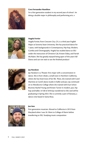

#### **Cora Fernandez-Hamilton**

I'm a frst generation student in my second year of school . Im doing a double major in philosophy and performing arts. x



#### **Angela Fortier**

Angela Fortier, from Crescent City ,CA, is a third year English Major at Sonoma State University. She has practiced dance for 7 years, with backgrounds in Contemporary, Hip-hop, Modern, Cumbia and Choreography. Angela has studied dance at SSU under the instruction of Christine Cali, Kristen Daley, and Farrah McAdam. She has greatly enjoyed being apart of this years Fall Dance and can not wait to see the fnished product!



#### **Jay Haralson**

Jay Haralson is a Theater Arts major with a concentration in dance. She is from Ukiah, a small town in Northern California, where she has lived most of her life. There, she trained with Carol Martinez at Carol's dance studio in ballet and jazz. Jay continued on to Mendocino College where she trained with Eryn Schon Brunner, Rachel Young and Kirsten Turner in modern, jazz, hip hop and ballet. In Fall of 2018 Jay transferred to SSU and will be graduating in Spring 2022. She is currently a part of Dynasty, a dance crew based in Santa Rosa.



#### **Jon Iten**

First generation musician. Moved to California in 2015 from Maryland when I was 26. Went to College of Marin before transferring to SSU. Studying music composition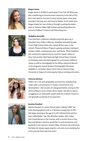



#### **Megan James**

Megan James is thrilled to participate in her frst Fall Showcase after transferring to Sonoma State University in the fall of 2021. Born and raised in Sonoma County, she has spent many years training in hip hop, jazz, and musical theater. In her spare time Megan shares her love of dance through coaching the dance team at Sonoma Valley High School, and teaching dance for Sonoma Children's Creative and Performing Arts.

#### **Madyline Jaramillo**

From Northern California, Madyline Jaramillo grew up in beautiful Grass Valley, California. Madyline attended Nevada Union High School where she trained all four years in the school's Theatrical Dance Program, gaining extensive training in modern, ballet, contemporary, jazz, and fusion. There Madyline has received the opportunity to travel for master classes in New York and the 2020 National High School Dance Festival in Pittsburg, teach and choreograph for community children's classes as well as choreograph for her fellow advanced dancers in the program's annual Student Choreography Showcase. Madyline is currently a dance minor here at Sonoma State University in hopes of continuing her dance training and artistry.



#### **Katryna Johnson**

Hello! I am a 5th year geography, environment, and planning major with a concentration in society, environment, and development. I did six years of colorguard before coming to SSU and enrolling in some of their dance classes. My piece is about struggling to un-whitewash myself while the Catholic Church is not generally accepting of my queerness.



#### **Jasmine Kaiulani**

Jasmine Kaiulani is a senior Dance major, making "LINK" her third choreographed work in a Fall Dance production at SSU. She began dancing at the age of 4 with Tahitian/Hula and has since added Ballet, Tap, Afro-Brazilian Samba, Afro-Cuban and Contemporary to her resume, with a current focus in Hip Hop and Modern. Jasmine would like to send eternal love and gratitude to her mentors, Kristen Daley, Christine Cali and Farrah McAdam for always supporting her and never once doubting her in her journey these past four years!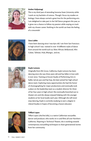

#### **Amber Kaljumagi**

This is my third year of attending Sonoma State University while I work on my bachelor of science. Though I focus my studies on biology, I have always carried a great love for the performing arts. I am delighted to take part in the Fall Dance program this year, as it gives me a chance to follow my passion while staying on track with my chosen career. Nothing in the world can beat the feeling of a crescendo!



#### **Zara Labbe**

I have been dancing since I was 6yrs old. I am from San Francisco. In high school I was trained in over 10 diferent styles of dance from around the world such as; West African, Bollywood, Afro Cuban, Tahitian, Hula, Bhangra , and etc.



#### **Kayle Lemons**

Originally from Elk Grove, California, Kayle Lemons has been dancing since she was three years old and has fallen in love with it ever since. Training at Encore Studio of Performing Arts in ballet, lyrical, jazz and hip hop, she later joined her high school dance team. Exploring many opportunities she had the honor of choreographing for major productions and eventually took a place on the leadership team as a student director for three of her four years in high school. She eventually branched out to theater arts and she always enjoyed helping with the younger students at her local studio each year. Although she will never stop dancing, Kayle is currently studying to earn a degree in Liberal Studies in hopes of becoming a future educator.



#### **Tiifani Lopez**

Tifani Lopez (she/her/ella), is a native Californian storyteller, dancer and producer, who works on tv and flms all over Northern California. Majoring in Technical Theatre, she is working towards contemporary storytelling techniques to share generational stories from her community.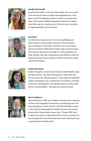

#### **Jennifer Martuscelli**

Jennifer Martuscelli is a 2nd year Dance Major. She is so excited to be dancing in a piece as well as choreographing one. It has been so much fun getting to dance in person once again with others. She enjoyed collaborating with her dancers to create a dance flm that she is really proud of. She can't wait to perform on stage hopefully in the near future.

#### **Eros Mene**

Eros Mene from Sacramento, CA is a 6th year Biology and Dance major at Sonoma State University. They have been a part of Auxiliary in Santa Rosa, Anarchy Crew in Sacramento, and Vice President of Blue Baronz Dance Club at Sonoma State. Eros has been dancing since the age of 7 with a background in Hula, Tahitian, Hip-Hop, Contemporary, and Modern under the instruction of Loea Naomi Kalama, Christine Cali, Kristen Daley, and Farrah McAdam.



#### **Jordan Murayama**

Jordan Murayama is a fourth year Hutchins Liberal Studies major and dance minor. She started taking dance classes when she was nine years old. She participates in many styles but especially enjoys contemporary, jazz, and hip-hop. In the future, she hopes to become a kindergarten or frst grade teacher, as well as teach dance to young children. She hopes you enjoy the show!



#### **Sierra Parkhurst**

Sierra Parkhurst is a ffth year student at Sonoma State, majoring in Dance and Geography, Environment, and Planning. Sierra has been dancing for 12 years and this is her ffth Fall Dance process at SSU. She has choreographed 4 fall dance pieces and recently presented her senior project dance show "Change, Shift, Flow", in which she created 4 original dance flms. Sierra is excited to be presenting her last work at Sonoma State, and is looking forward to graduating in December 2021.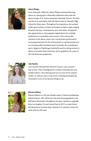

#### **Aleen Phelps**

From Alameda, California, Aleen Phelps started performing dance at a young age in ethnically traditional styles with the dance troupe of St. Vartan Armenian Apostolic Church. She later moved on to participate with the dance team at Alameda High School for three years. Throughout her experience, she worked under guest teachers to learn techniques in dance styles ranging between hip hop, contemporary, jazz, and others. She gained the opportunity to choreograph original pieces for multiple productions in assemblies and concerts. One memorable moment in her dance career was a social justice performance increasing awareness for the environment in a group production to a moving audio of spoken word. Currently, she is studying to earn a degree in Psychology, looking forward to taking courses in dance at Sonoma State University, and is grateful to be a part of the Fall Showcase production.



#### **Lilia Rechin**

I am 20 years old and from Sonoma County. I am a second year at SSU. I have a background in mainly contemporary and modern dance. I love dancing and use it as one of my creative outlets, as well as a way to stay active. Creating and exploring movement is one of my favorite things to do.



#### **Marissa Salinas**

Marissa Salinas is a 5th year double major in Dance and Business Administration. This will be her 3rd work choreographed in the Fall Dance Showcases throughout the years. Marissa is originally from Los Angeles, CA and moved here in 2017 to study Dance and Business at Sonoma State. Marissa is so excited to share her work with you this year.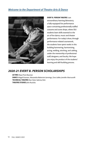## *Welcome to the Department of Theatre Arts & Dance*



**EVERT B. PERSON THEATRE** is an extraordinary learning laboratory, a fully-equipped live performance space containing professionally stafed costume and scene shops, where SSU students learn skills essential to the art of live dance, music and theater performance. For today's show, through performance-related coursework, the students have spent weeks in this building hammering, harmonizing, acting, welding, stitching, and cabling, under the mentorship of professional staf, designers, and faculty. We hope you enjoy the product of the students' learning and skill-building process.

### *2020-21 EVERT B. PERSON SCHOLARSHIPS*

**ACTING** Maya Pratt-Bauman

**DANCE** Abigail Eissman, Alessandra Balestrieri-Jennings, Zara Labbe, Jennifer Martuscelli **TECHNICAL THEATRE** Elise Clark, Sabrina Hick **THEATRE STUDIES** John Ruzicka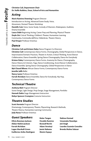# **Dr. Hollis Robbins, Dean, School of Arts and Humanities**

## *Acting*

**Constant Chair**<br> **Constant Chair Constant Chair**<br> **Acting**<br> **Acting**<br> **Acting**<br> **Constant Chair Constant Chair Constant Chair Constant Chair Constant<br>
<b>Constant Constant Constant Constant Constant Constant Constant Consta Marie Ramirez Downing** Program Director Introduction to Acting, Advanced Scene Study, Voice, Movement, Devised Theatre Workshop **Danielle Cain** Voice, Scene Study, Comedy of Manners, Shakespeare, Audition, Drama Ensemble Laura Odeh Beginning Acting, Career Prep and Planning, Physical Theatre **Doyle Ott** Critical Thinking, Children's Theater, Humanities Learning Community, Commedia dell'Arte, Feldenkrais, Theatre History **Paul Draper** Professor Emeritus

## *Dance*

**Christine Cali and Kristen Daley** Dance Program Co-Directors **Christine Cali** Contemporary Dance Forms, Choreography, Global Perspectives in Dance, Improvisation/Somatic Practices, Theatre in Action, Critical Thinking, Actor/Dancer Collaboration, Dance Ensemble, Spring Dance Choreography, Dance for Everybody **Kristen Daley** Contemporary Dance Forms, Anatomy for Dance, Choreography, Dance History & Criticism, Yoga, Dance Conditioning, Actor/Dancer Collaboration, Dance Ensemble, Spring Dance Choreography, Global Perspectives in Dance **Byb Chanel Bibene** African Dance Forms, Contemporary Dance Forms **Jennifer Jafe** Ballet **Nancy Lyons** Professor Emeritus **Farrah McAdam** Dance Ensemble, Dance for Everybody, Hip Hop, Contemporary Dance Forms

# *Technical Theatre*

**Anthony Bish** Program Director Scene Design, Light Design, Prop Design, Stage Management, Portfolio **Hannah Dakin** Stage Management Instruction **Robyn Spencer-Crompton** Costume Instruction

## *Theatre Studies*

**Scott Horstein** Program Director Dramaturgy, Contemporary Theatre, Playwriting, Research Methods, Theatre History, Humanities Learning Community **Judy Navas** Professor Emeritus

# *Guest Speakers* **Rulan Tangen Nakissa Etemad**

- **Olivia Bowman-Jackson Osvaldo Ramirez Uzoamaka Nwankpa Abdur-Rahim Jackson Beowulf Boritt Joti Singh Logan Marshall-Green Jamie Nakama Brenda Muñoz Salazar Guillermo Aviles-Rodriguez Mestre Espaço**
- 
- **Farrah McAdam Adam Versényi Lourdes Guzmán González**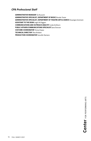### *CPA Professional Staff*

**ADMINISTRATIVE MANAGER** Tai Russotti **ADMINISTRATIVE SPECIALIST, DEPARTMENT OF MUSIC** Brooke Tester **ADMINISTRATIVE SPECIALIST, DEPARTMENT OF THEATRE ARTS & DANCE** Douangta Sorensen **ASSISTANT TO THE DEAN** Leigh McTaggart **COMMUNICATIONS AND OUTREACH ANALYST** Linda Eichhorn **PUBLIC AFFAIRS/COMMUNICATIONS SPECIALIST** Jana Duncan **COSTUME COORDINATOR** Teresa Kopaz **TECHNICAL DIRECTOR** Theo Bridant **PRODUCTION COORDINATOR** Fancelle Mariano